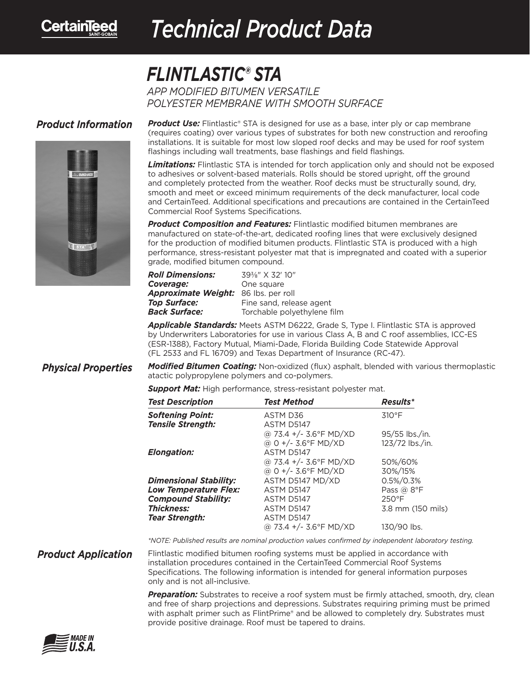

## *Technical Product Data Technical Product Data*

## *FLINTLASTIC® STA*

*APP MODIFIED BITUMEN VERSATILE POLYESTER MEMBRANE WITH SMOOTH SURFACE*

## *Product Information*



**Product Use:** Flintlastic<sup>®</sup> STA is designed for use as a base, inter ply or cap membrane (requires coating) over various types of substrates for both new construction and reroofing installations. It is suitable for most low sloped roof decks and may be used for roof system flashings including wall treatments, base flashings and field flashings.

*Limitations:* Flintlastic STA is intended for torch application only and should not be exposed to adhesives or solvent-based materials. Rolls should be stored upright, off the ground and completely protected from the weather. Roof decks must be structurally sound, dry, smooth and meet or exceed minimum requirements of the deck manufacturer, local code and CertainTeed. Additional specifications and precautions are contained in the CertainTeed Commercial Roof Systems Specifications.

*Product Composition and Features:* Flintlastic modified bitumen membranes are manufactured on state-of-the-art, dedicated roofing lines that were exclusively designed for the production of modified bitumen products. Flintlastic STA is produced with a high performance, stress-resistant polyester mat that is impregnated and coated with a superior grade, modified bitumen compound.

| 39 <sup>3</sup> / <sub>8</sub> " X 32' 10" |
|--------------------------------------------|
| One square                                 |
| Approximate Weight: 86 lbs. per roll       |
| Fine sand, release agent                   |
| Torchable polyethylene film                |
|                                            |

*Applicable Standards:* Meets ASTM D6222, Grade S, Type I. Flintlastic STA is approved by Underwriters Laboratories for use in various Class A, B and C roof assemblies, ICC-ES (ESR-1388), Factory Mutual, Miami-Dade, Florida Building Code Statewide Approval (FL 2533 and FL 16709) and Texas Department of Insurance (RC-47).

*Modified Bitumen Coating:* Non-oxidized (flux) asphalt, blended with various thermoplastic atactic polypropylene polymers and co-polymers. *Physical Properties*

*Support Mat:* High performance, stress-resistant polyester mat.

| <b>Test Description</b>                      | Test Method            | <b>Results*</b>   |
|----------------------------------------------|------------------------|-------------------|
| Softening Point:<br><b>Tensile Strength:</b> | ASTM D36<br>ASTM D5147 | 310°F             |
|                                              | @ 73.4 +/- 3.6°F MD/XD | 95/55 lbs./in.    |
|                                              | @ 0 +/- 3.6°F MD/XD    | 123/72 lbs./in.   |
| Elongation:                                  | ASTM D5147             |                   |
|                                              | @ 73.4 +/- 3.6°F MD/XD | 50%/60%           |
|                                              | @ 0 +/- 3.6°F MD/XD    | 30%/15%           |
| Dimensional Stability:                       | ASTM D5147 MD/XD       | $0.5\%/0.3\%$     |
| Low Temperature Flex:                        | ASTM D5147             | Pass $@$ 8°F      |
| <b>Compound Stability:</b>                   | ASTM D5147             | $250^{\circ}$ F   |
| <b>Thickness:</b>                            | ASTM D5147             | 3.8 mm (150 mils) |
| <b>Tear Strength:</b>                        | ASTM D5147             |                   |
|                                              | @ 73.4 +/- 3.6°F MD/XD | 130/90 lbs.       |

*\*NOTE: Published results are nominal production values confirmed by independent laboratory testing.*

*Product Application*

Flintlastic modified bitumen roofing systems must be applied in accordance with installation procedures contained in the CertainTeed Commercial Roof Systems Specifications. The following information is intended for general information purposes only and is not all-inclusive.

*Preparation:* Substrates to receive a roof system must be firmly attached, smooth, dry, clean and free of sharp projections and depressions. Substrates requiring priming must be primed with asphalt primer such as FlintPrime® and be allowed to completely dry. Substrates must provide positive drainage. Roof must be tapered to drains.